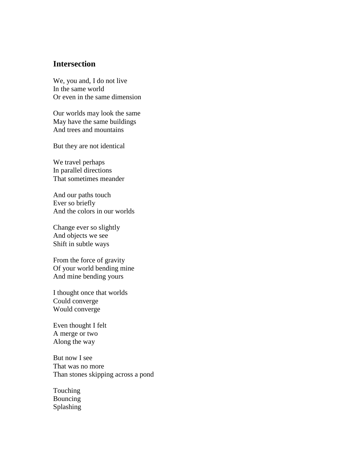## **Intersection**

We, you and, I do not live In the same world Or even in the same dimension

Our worlds may look the same May have the same buildings And trees and mountains

But they are not identical

We travel perhaps In parallel directions That sometimes meander

And our paths touch Ever so briefly And the colors in our worlds

Change ever so slightly And objects we see Shift in subtle ways

From the force of gravity Of your world bending mine And mine bending yours

I thought once that worlds Could converge Would converge

Even thought I felt A merge or two Along the way

But now I see That was no more Than stones skipping across a pond

Touching Bouncing Splashing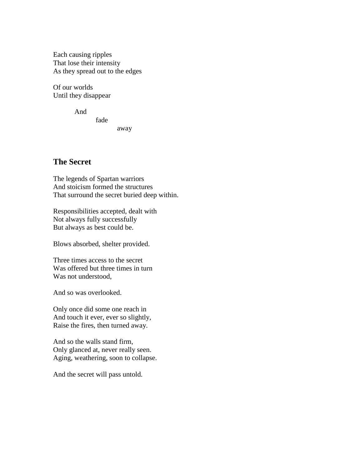Each causing ripples That lose their intensity As they spread out to the edges

fade

Of our worlds Until they disappear

And

away

## **The Secret**

The legends of Spartan warriors And stoicism formed the structures That surround the secret buried deep within.

Responsibilities accepted, dealt with Not always fully successfully But always as best could be.

Blows absorbed, shelter provided.

Three times access to the secret Was offered but three times in turn Was not understood,

And so was overlooked.

Only once did some one reach in And touch it ever, ever so slightly, Raise the fires, then turned away.

And so the walls stand firm, Only glanced at, never really seen. Aging, weathering, soon to collapse.

And the secret will pass untold.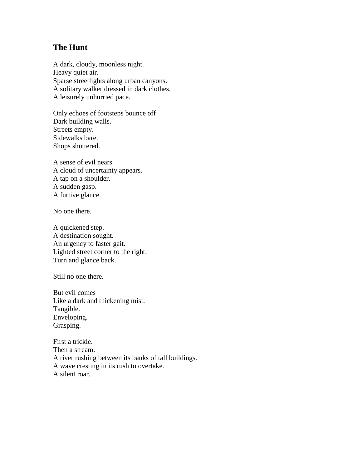## **The Hunt**

A dark, cloudy, moonless night. Heavy quiet air. Sparse streetlights along urban canyons. A solitary walker dressed in dark clothes. A leisurely unhurried pace.

Only echoes of footsteps bounce off Dark building walls. Streets empty. Sidewalks bare. Shops shuttered.

A sense of evil nears. A cloud of uncertainty appears. A tap on a shoulder. A sudden gasp. A furtive glance.

No one there.

A quickened step. A destination sought. An urgency to faster gait. Lighted street corner to the right. Turn and glance back.

Still no one there.

But evil comes Like a dark and thickening mist. Tangible. Enveloping. Grasping.

First a trickle. Then a stream. A river rushing between its banks of tall buildings. A wave cresting in its rush to overtake. A silent roar.